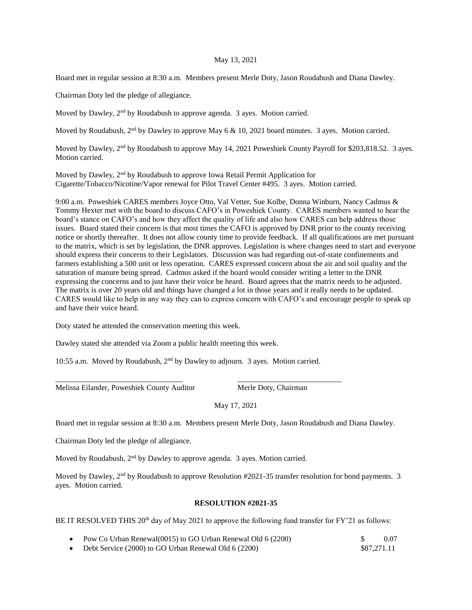## May 13, 2021

Board met in regular session at 8:30 a.m. Members present Merle Doty, Jason Roudabush and Diana Dawley.

Chairman Doty led the pledge of allegiance.

Moved by Dawley, 2<sup>nd</sup> by Roudabush to approve agenda. 3 ayes. Motion carried.

Moved by Roudabush,  $2<sup>nd</sup>$  by Dawley to approve May 6 & 10, 2021 board minutes. 3 ayes. Motion carried.

Moved by Dawley, 2<sup>nd</sup> by Roudabush to approve May 14, 2021 Poweshiek County Payroll for \$203,818.52. 3 ayes. Motion carried.

Moved by Dawley, 2<sup>nd</sup> by Roudabush to approve Iowa Retail Permit Application for Cigarette/Tobacco/Nicotine/Vapor renewal for Pilot Travel Center #495. 3 ayes. Motion carried.

9:00 a.m. Poweshiek CARES members Joyce Otto, Val Vetter, Sue Kolbe, Donna Winburn, Nancy Cadmus & Tommy Hexter met with the board to discuss CAFO's in Poweshiek County. CARES members wanted to hear the board's stance on CAFO's and how they affect the quality of life and also how CARES can help address those issues. Board stated their concern is that most times the CAFO is approved by DNR prior to the county receiving notice or shortly thereafter. It does not allow county time to provide feedback. If all qualifications are met pursuant to the matrix, which is set by legislation, the DNR approves. Legislation is where changes need to start and everyone should express their concerns to their Legislators. Discussion was had regarding out-of-state confinements and farmers establishing a 500 unit or less operation. CARES expressed concern about the air and soil quality and the saturation of manure being spread. Cadmus asked if the board would consider writing a letter to the DNR expressing the concerns and to just have their voice be heard. Board agrees that the matrix needs to be adjusted. The matrix is over 20 years old and things have changed a lot in those years and it really needs to be updated. CARES would like to help in any way they can to express concern with CAFO's and encourage people to speak up and have their voice heard.

Doty stated he attended the conservation meeting this week.

Dawley stated she attended via Zoom a public health meeting this week.

10:55 a.m. Moved by Roudabush,  $2<sup>nd</sup>$  by Dawley to adjourn. 3 ayes. Motion carried.

\_\_\_\_\_\_\_\_\_\_\_\_\_\_\_\_\_\_\_\_\_\_\_\_\_\_\_\_\_\_\_\_\_ \_\_\_\_\_\_\_\_\_\_\_\_\_\_\_\_\_\_\_\_\_\_\_\_\_\_\_

Melissa Eilander, Poweshiek County Auditor Merle Doty, Chairman

May 17, 2021

Board met in regular session at 8:30 a.m. Members present Merle Doty, Jason Roudabush and Diana Dawley.

Chairman Doty led the pledge of allegiance.

Moved by Roudabush, 2<sup>nd</sup> by Dawley to approve agenda. 3 ayes. Motion carried.

Moved by Dawley,  $2<sup>nd</sup>$  by Roudabush to approve Resolution #2021-35 transfer resolution for bond payments. 3 ayes. Motion carried.

## **RESOLUTION #2021-35**

BE IT RESOLVED THIS 20<sup>th</sup> day of May 2021 to approve the following fund transfer for FY'21 as follows:

|  | • Pow Co Urban Renewal(0015) to GO Urban Renewal Old 6 (2200) |  | 0.07 |
|--|---------------------------------------------------------------|--|------|
|--|---------------------------------------------------------------|--|------|

Debt Service (2000) to GO Urban Renewal Old 6 (2200) \$87,271.11